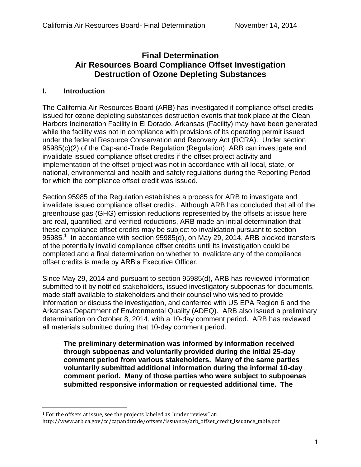## **Final Determination Air Resources Board Compliance Offset Investigation Destruction of Ozone Depleting Substances**

#### **I. Introduction**

The California Air Resources Board (ARB) has investigated if compliance offset credits issued for ozone depleting substances destruction events that took place at the Clean Harbors Incineration Facility in El Dorado, Arkansas (Facility) may have been generated while the facility was not in compliance with provisions of its operating permit issued under the federal Resource Conservation and Recovery Act (RCRA). Under section 95985(c)(2) of the Cap-and-Trade Regulation (Regulation), ARB can investigate and invalidate issued compliance offset credits if the offset project activity and implementation of the offset project was not in accordance with all local, state, or national, environmental and health and safety regulations during the Reporting Period for which the compliance offset credit was issued.

Section 95985 of the Regulation establishes a process for ARB to investigate and invalidate issued compliance offset credits. Although ARB has concluded that all of the greenhouse gas (GHG) emission reductions represented by the offsets at issue here are real, quantified, and verified reductions, ARB made an initial determination that these compliance offset credits may be subject to invalidation pursuant to section 95985.<sup>1</sup> In accordance with section 95985(d), on May 29, 2014, ARB blocked transfers of the potentially invalid compliance offset credits until its investigation could be completed and a final determination on whether to invalidate any of the compliance offset credits is made by ARB's Executive Officer.

Since May 29, 2014 and pursuant to section 95985(d), ARB has reviewed information submitted to it by notified stakeholders, issued investigatory subpoenas for documents, made staff available to stakeholders and their counsel who wished to provide information or discuss the investigation, and conferred with US EPA Region 6 and the Arkansas Department of Environmental Quality (ADEQ). ARB also issued a preliminary determination on October 8, 2014, with a 10-day comment period. ARB has reviewed all materials submitted during that 10-day comment period.

**The preliminary determination was informed by information received through subpoenas and voluntarily provided during the initial 25-day comment period from various stakeholders. Many of the same parties voluntarily submitted additional information during the informal 10-day comment period. Many of those parties who were subject to subpoenas submitted responsive information or requested additional time. The** 

 $\overline{a}$ 

 $^{\rm 1}$  For the offsets at issue, see the projects labeled as "under review" at:

http://www.arb.ca.gov/cc/capandtrade/offsets/issuance/arb\_offset\_credit\_issuance\_table.pdf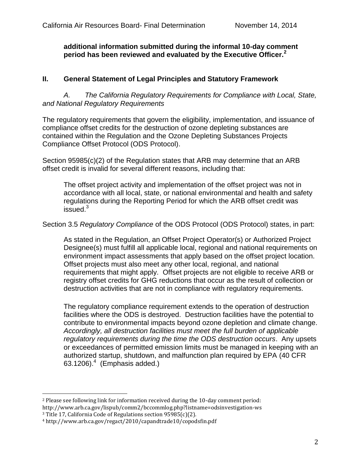**additional information submitted during the informal 10-day comment period has been reviewed and evaluated by the Executive Officer.<sup>2</sup>** 

### **II. General Statement of Legal Principles and Statutory Framework**

*A. The California Regulatory Requirements for Compliance with Local, State, and National Regulatory Requirements* 

The regulatory requirements that govern the eligibility, implementation, and issuance of compliance offset credits for the destruction of ozone depleting substances are contained within the Regulation and the Ozone Depleting Substances Projects Compliance Offset Protocol (ODS Protocol).

Section 95985(c)(2) of the Regulation states that ARB may determine that an ARB offset credit is invalid for several different reasons, including that:

The offset project activity and implementation of the offset project was not in accordance with all local, state, or national environmental and health and safety regulations during the Reporting Period for which the ARB offset credit was issued.<sup>3</sup>

#### Section 3.5 *Regulatory Compliance* of the ODS Protocol (ODS Protocol) states, in part:

As stated in the Regulation, an Offset Project Operator(s) or Authorized Project Designee(s) must fulfill all applicable local, regional and national requirements on environment impact assessments that apply based on the offset project location. Offset projects must also meet any other local, regional, and national requirements that might apply. Offset projects are not eligible to receive ARB or registry offset credits for GHG reductions that occur as the result of collection or destruction activities that are not in compliance with regulatory requirements.

The regulatory compliance requirement extends to the operation of destruction facilities where the ODS is destroyed. Destruction facilities have the potential to contribute to environmental impacts beyond ozone depletion and climate change. *Accordingly, all destruction facilities must meet the full burden of applicable regulatory requirements during the time the ODS destruction occurs*. Any upsets or exceedances of permitted emission limits must be managed in keeping with an authorized startup, shutdown, and malfunction plan required by EPA (40 CFR  $63.1206$ ). $4$  (Emphasis added.)

 $\overline{a}$ 

<sup>2</sup> Please see following link for information received during the 10-day comment period: http://www.arb.ca.gov/lispub/comm2/bccommlog.php?listname=odsinvestigation-ws

<sup>3</sup> Title 17, California Code of Regulations section 95985(c)(2).

<sup>4</sup> http://www.arb.ca.gov/regact/2010/capandtrade10/copodsfin.pdf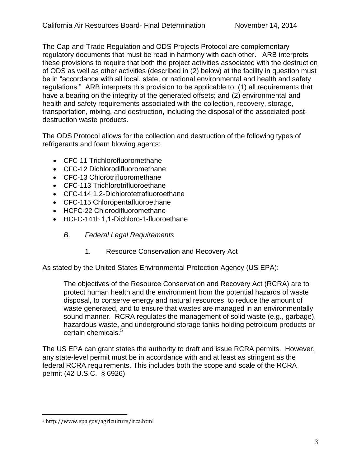The Cap-and-Trade Regulation and ODS Projects Protocol are complementary regulatory documents that must be read in harmony with each other. ARB interprets these provisions to require that both the project activities associated with the destruction of ODS as well as other activities (described in (2) below) at the facility in question must be in "accordance with all local, state, or national environmental and health and safety regulations." ARB interprets this provision to be applicable to: (1) all requirements that have a bearing on the integrity of the generated offsets; and (2) environmental and health and safety requirements associated with the collection, recovery, storage, transportation, mixing, and destruction, including the disposal of the associated postdestruction waste products.

The ODS Protocol allows for the collection and destruction of the following types of refrigerants and foam blowing agents:

- CFC-11 Trichlorofluoromethane
- CFC-12 Dichlorodifluoromethane
- CFC-13 Chlorotrifluoromethane
- CFC-113 Trichlorotrifluoroethane
- CFC-114 1,2-Dichlorotetrafluoroethane
- CFC-115 Chloropentafluoroethane
- HCFC-22 Chlorodifluoromethane
- HCFC-141b 1,1-Dichloro-1-fluoroethane
	- *B. Federal Legal Requirements* 
		- 1. Resource Conservation and Recovery Act

As stated by the United States Environmental Protection Agency (US EPA):

The objectives of the Resource Conservation and Recovery Act (RCRA) are to protect human health and the environment from the potential hazards of waste disposal, to conserve energy and natural resources, to reduce the amount of waste generated, and to ensure that wastes are managed in an environmentally sound manner. RCRA regulates the management of solid waste (e.g., garbage), hazardous waste, and underground storage tanks holding petroleum products or certain chemicals.<sup>5</sup>

The US EPA can grant states the authority to draft and issue RCRA permits. However, any state-level permit must be in accordance with and at least as stringent as the federal RCRA requirements. This includes both the scope and scale of the RCRA permit (42 U.S.C. § 6926)

l 5 http://www.epa.gov/agriculture/lrca.html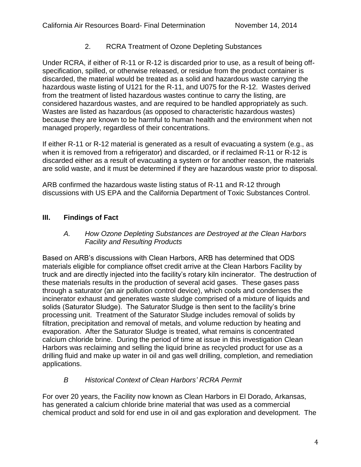## 2. RCRA Treatment of Ozone Depleting Substances

Under RCRA, if either of R-11 or R-12 is discarded prior to use, as a result of being offspecification, spilled, or otherwise released, or residue from the product container is discarded, the material would be treated as a solid and hazardous waste carrying the hazardous waste listing of U121 for the R-11, and U075 for the R-12. Wastes derived from the treatment of listed hazardous wastes continue to carry the listing, are considered hazardous wastes, and are required to be handled appropriately as such. Wastes are listed as hazardous (as opposed to characteristic hazardous wastes) because they are known to be harmful to human health and the environment when not managed properly, regardless of their concentrations.

If either R-11 or R-12 material is generated as a result of evacuating a system (e.g., as when it is removed from a refrigerator) and discarded, or if reclaimed R-11 or R-12 is discarded either as a result of evacuating a system or for another reason, the materials are solid waste, and it must be determined if they are hazardous waste prior to disposal.

ARB confirmed the hazardous waste listing status of R-11 and R-12 through discussions with US EPA and the California Department of Toxic Substances Control.

# **III. Findings of Fact**

#### *A. How Ozone Depleting Substances are Destroyed at the Clean Harbors Facility and Resulting Products*

Based on ARB's discussions with Clean Harbors, ARB has determined that ODS materials eligible for compliance offset credit arrive at the Clean Harbors Facility by truck and are directly injected into the facility's rotary kiln incinerator. The destruction of these materials results in the production of several acid gases. These gases pass through a saturator (an air pollution control device), which cools and condenses the incinerator exhaust and generates waste sludge comprised of a mixture of liquids and solids (Saturator Sludge). The Saturator Sludge is then sent to the facility's brine processing unit. Treatment of the Saturator Sludge includes removal of solids by filtration, precipitation and removal of metals, and volume reduction by heating and evaporation. After the Saturator Sludge is treated, what remains is concentrated calcium chloride brine. During the period of time at issue in this investigation Clean Harbors was reclaiming and selling the liquid brine as recycled product for use as a drilling fluid and make up water in oil and gas well drilling, completion, and remediation applications.

## *B Historical Context of Clean Harbors' RCRA Permit*

For over 20 years, the Facility now known as Clean Harbors in El Dorado, Arkansas, has generated a calcium chloride brine material that was used as a commercial chemical product and sold for end use in oil and gas exploration and development. The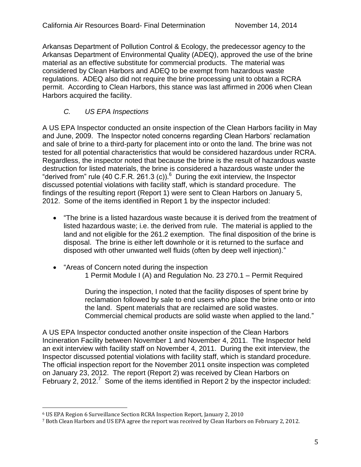Arkansas Department of Pollution Control & Ecology, the predecessor agency to the Arkansas Department of Environmental Quality (ADEQ), approved the use of the brine material as an effective substitute for commercial products. The material was considered by Clean Harbors and ADEQ to be exempt from hazardous waste regulations. ADEQ also did not require the brine processing unit to obtain a RCRA permit. According to Clean Harbors, this stance was last affirmed in 2006 when Clean Harbors acquired the facility.

## *C. US EPA Inspections*

A US EPA Inspector conducted an onsite inspection of the Clean Harbors facility in May and June, 2009. The Inspector noted concerns regarding Clean Harbors' reclamation and sale of brine to a third-party for placement into or onto the land. The brine was not tested for all potential characteristics that would be considered hazardous under RCRA. Regardless, the inspector noted that because the brine is the result of hazardous waste destruction for listed materials, the brine is considered a hazardous waste under the "derived from" rule (40 C.F.R. 261.3 (c)). $<sup>6</sup>$  During the exit interview, the Inspector</sup> discussed potential violations with facility staff, which is standard procedure. The findings of the resulting report (Report 1) were sent to Clean Harbors on January 5, 2012. Some of the items identified in Report 1 by the inspector included:

- "The brine is a listed hazardous waste because it is derived from the treatment of listed hazardous waste; i.e. the derived from rule. The material is applied to the land and not eligible for the 261.2 exemption. The final disposition of the brine is disposal. The brine is either left downhole or it is returned to the surface and disposed with other unwanted well fluids (often by deep well injection)."
- "Areas of Concern noted during the inspection 1 Permit Module I (A) and Regulation No. 23 270.1 – Permit Required

During the inspection, I noted that the facility disposes of spent brine by reclamation followed by sale to end users who place the brine onto or into the land. Spent materials that are reclaimed are solid wastes. Commercial chemical products are solid waste when applied to the land."

A US EPA Inspector conducted another onsite inspection of the Clean Harbors Incineration Facility between November 1 and November 4, 2011. The Inspector held an exit interview with facility staff on November 4, 2011. During the exit interview, the Inspector discussed potential violations with facility staff, which is standard procedure. The official inspection report for the November 2011 onsite inspection was completed on January 23, 2012. The report (Report 2) was received by Clean Harbors on February 2, 2012.<sup>7</sup> Some of the items identified in Report 2 by the inspector included:

 $\overline{a}$ 

<sup>6</sup> US EPA Region 6 Surveillance Section RCRA Inspection Report, January 2, 2010

<sup>7</sup> Both Clean Harbors and US EPA agree the report was received by Clean Harbors on February 2, 2012.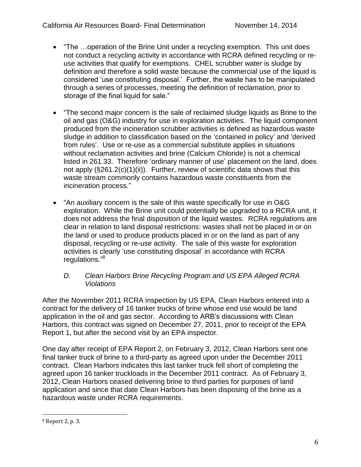- "The …operation of the Brine Unit under a recycling exemption. This unit does not conduct a recycling activity in accordance with RCRA defined recycling or reuse activities that qualify for exemptions. CHEL scrubber water is sludge by definition and therefore a solid waste because the commercial use of the liquid is considered 'use constituting disposal.' Further, the waste has to be manipulated through a series of processes, meeting the definition of reclamation, prior to storage of the final liquid for sale."
- "The second major concern is the sale of reclaimed sludge liquids as Brine to the oil and gas (O&G) industry for use in exploration activities. The liquid component produced from the incineration scrubber activities is defined as hazardous waste sludge in addition to classification based on the 'contained in policy' and 'derived from rules'. Use or re-use as a commercial substitute applies in situations without reclamation activities and brine (Calcium Chloride) is not a chemical listed in 261.33. Therefore 'ordinary manner of use' placement on the land, does not apply (§261.2(c)(1)(ii)). Further, review of scientific data shows that this waste stream commonly contains hazardous waste constituents from the incineration process."
- "An auxiliary concern is the sale of this waste specifically for use in O&G exploration. While the Brine unit could potentially be upgraded to a RCRA unit, it does not address the final disposition of the liquid wastes. RCRA regulations are clear in relation to land disposal restrictions: wastes shall not be placed in or on the land or used to produce products placed in or on the land as part of any disposal, recycling or re-use activity. The sale of this waste for exploration activities is clearly 'use constituting disposal' in accordance with RCRA regulations."<sup>8</sup>

### *D. Clean Harbors Brine Recycling Program and US EPA Alleged RCRA Violations*

After the November 2011 RCRA inspection by US EPA, Clean Harbors entered into a contract for the delivery of 16 tanker trucks of brine whose end use would be land application in the oil and gas sector. According to ARB's discussions with Clean Harbors, this contract was signed on December 27, 2011, prior to receipt of the EPA Report 1, but after the second visit by an EPA inspector.

One day after receipt of EPA Report 2, on February 3, 2012, Clean Harbors sent one final tanker truck of brine to a third-party as agreed upon under the December 2011 contract. Clean Harbors indicates this last tanker truck fell short of completing the agreed upon 16 tanker truckloads in the December 2011 contract. As of February 3, 2012, Clean Harbors ceased delivering brine to third parties for purposes of land application and since that date Clean Harbors has been disposing of the brine as a hazardous waste under RCRA requirements.

l 8 Report 2, p. 3.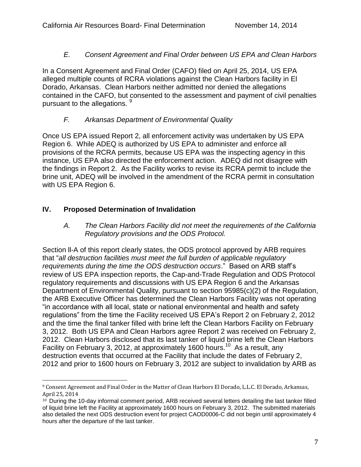## *E. Consent Agreement and Final Order between US EPA and Clean Harbors*

In a Consent Agreement and Final Order (CAFO) filed on April 25, 2014, US EPA alleged multiple counts of RCRA violations against the Clean Harbors facility in El Dorado, Arkansas. Clean Harbors neither admitted nor denied the allegations contained in the CAFO, but consented to the assessment and payment of civil penalties pursuant to the allegations.  $9$ 

## *F. Arkansas Department of Environmental Quality*

Once US EPA issued Report 2, all enforcement activity was undertaken by US EPA Region 6. While ADEQ is authorized by US EPA to administer and enforce all provisions of the RCRA permits, because US EPA was the inspecting agency in this instance, US EPA also directed the enforcement action. ADEQ did not disagree with the findings in Report 2. As the Facility works to revise its RCRA permit to include the brine unit, ADEQ will be involved in the amendment of the RCRA permit in consultation with US EPA Region 6.

# **IV. Proposed Determination of Invalidation**

*A. The Clean Harbors Facility did not meet the requirements of the California Regulatory provisions and the ODS Protocol.* 

Section ll-A of this report clearly states, the ODS protocol approved by ARB requires that "*all destruction facilities must meet the full burden of applicable regulatory requirements during the time the ODS destruction occurs*." Based on ARB staff's review of US EPA inspection reports, the Cap-and-Trade Regulation and ODS Protocol regulatory requirements and discussions with US EPA Region 6 and the Arkansas Department of Environmental Quality, pursuant to section 95985(c)(2) of the Regulation, the ARB Executive Officer has determined the Clean Harbors Facility was not operating "in accordance with all local, state or national environmental and health and safety regulations" from the time the Facility received US EPA's Report 2 on February 2, 2012 and the time the final tanker filled with brine left the Clean Harbors Facility on February 3, 2012. Both US EPA and Clean Harbors agree Report 2 was received on February 2, 2012. Clean Harbors disclosed that its last tanker of liquid brine left the Clean Harbors Facility on February 3, 2012, at approximately 1600 hours.<sup>10</sup> As a result, any destruction events that occurred at the Facility that include the dates of February 2, 2012 and prior to 1600 hours on February 3, 2012 are subject to invalidation by ARB as

 $\overline{a}$ <sup>9</sup> Consent Agreement and Final Order in the Matter of Clean Harbors El Dorado, L.L.C. El Dorado, Arkansas, April 25, 2014

<sup>10</sup> During the 10-day informal comment period, ARB received several letters detailing the last tanker filled of liquid brine left the Facility at approximately 1600 hours on February 3, 2012. The submitted materials also detailed the next ODS destruction event for project CAOD0006-C did not begin until approximately 4 hours after the departure of the last tanker.